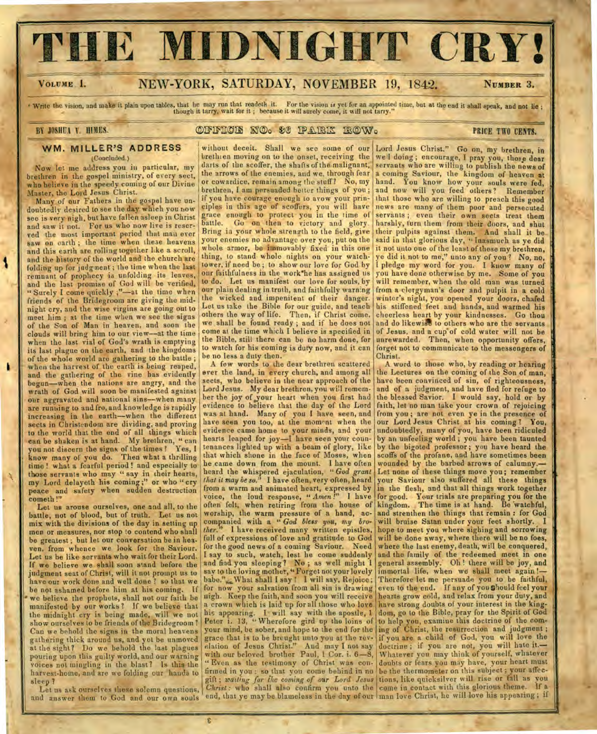# **THE MIDNIGHT CRY!**

1

## VOLUME I. **NEW-YORK, SATURDAY, NOVEMBER 19, 1842.** NUMBER 3.

Write the vision, and make it plain upon tables, that he may run that readeth it. For the vision is yet for an appointed time, but at the end it shall speak, and not lie;<br>though it tarry, wait for it; because it will surel

## BY JOSHUA Y. HIMES. **OXYPICIS NO. 86 PARK ROW. PRICE TWO CENTS.**

see is very nigh, but have fallen asleep in Christ grace enough to protect you in the time of servants; even their own sects treat them<br>and saw it not. For us who now live is reser- battle. Go on then to victory and glory. and saw it not. For us who now live is reser- battle. Go on then to victory and glory. red the most important period that man ever Bring is your whole strength to the field, give and the history of the world and the church are thing, to stand whole nights on your watchfolding up for judgment; the time when the last folding up for juagment; the time when the last cour faithfulness in the work he has assigned us you have done otherwise by me. Some of you and the last promise of God will be verified, to do. Let us manifest our love for friends of the Bridegroom are giving the mid- the wicked and impenitent of their danger. winter's night, you opened your doors, chafed<br>pickt ers and the wise virgins are going out to Let us take the Bible for our guide, an of the Son of Man in heaven, and soon the we shall be found ready; and if he does not clouds will bring him to our view—at the time come at the time which I believe is specified in charm to our view—at the time the Bible, when the last vial of God's wrath is emptying its last plague on the earth, and the kingdoms of the whole world are gathering to the battle ; when the harvest of the earth is being reaped, and the gathering of the vine has evidently begun—when the nations are angry, and the wrath of God will soon be manifested against our aggravated and national sins--when many are running to and fro, and knowledge is rapidly increasing in the earth—when the different sects in Christendom are dividing, and proving to the world that the end of all things which can be shaken is at hand. My brethren, " can you not discern the signs of the times ? Yes, I know many of you do. Then what a thrilling time ! what a fearful period ! and especially to those servants who may " say in their hearts, my Lord delayeth his coming ;" or who " cry peace and safety when sudden destruction cometh!"

Let us arouse ourselves, one and all, to the battle, not of blood, but of truth. Let us not mix with the divisions of the day in setting up men or measures, nor stop to contend who shall be greatest ; but let our conversation be in heaven, from whence we look for the Saviour. Let us be like servants who wait for their Lord. If we believe we shall soon stand before the judgment seat of Christ, will it not prompt us to have our work done and well done ? so that we be not ashamed before him at his coming. If we believe the prophets, shall not our faith be manifested by our works ? If we believe that the midnight cry is being made, will we not show ourselves to be friends of the Bridegroom ? Can we behold the signs in the moral heavens gathering thick around us, and yet be unmoved at the sight? Do we behold the last plagues pouring upon this guilty world, and our warning voices not mingling in the blast? Is this the harvest-home, and are we folding our hands to sleep ?

and answer them to God and our own souls end, that ye may be blameless in the day of our man love Christ, he will love his appearing; if Let us ask ourselves these solemn questions,<br>and answer them to God and our own souls

to watch for his coming is duty now, and it can be no less a duty then.

A few words to the dear brethren scattered ever the land, in every church, and among all sects, who believe in the near approach of the Lord Jesus. My dear brethren, you will remember the joy of your heart when you first had evidence to believe that the day of the Lord was at hand. Many of you I have seen, and have seen you too, at the moment when the evidence came home to your minds, and your hearts leaped for joy-I have seen your countenances lighted up with a beam of glory, like that which shone in the face of Moses, when he came down from the mount. I have often heard the whispered ejaculation, " *God grant that it may be so."* I have often, very often, heard from a warm and animated heart, expressed by voice, the loud response, *" Amen !"* I have often felt, when retiring from the house of worship, the warm pressure of a hand, accompanied with a " *God bless you, my bro-*I have received many written epistles, full of expressions of love and gratitude to God for the good news of a coming Saviour. Need I say to such, watch, lest he come suddenly and find you sleeping ? No ; as well might I say to the loving mother, " Forget not your lovely babe.", What shall I say ! I will say, Rejoice; for now your salvation from all sin is drawing nigh. Keep the faith, and soon you will receive a crown which is laid up for all those who love his appearing. I will say with the apostle, 1 Peter i. 13, "Wherefore gird up the loins of your mind, be sober, and hope to the end for the grace that is to be brought unto you at the revelation of Jesus Christ." And may I not say with our beloved brother Paul, 1 Cor. i. 6-8, " Even as the testimony of Christ was confirmed in you : so that you come behind in no

WM. MILLER'S ADDRESS without deceit. Shall we see some of our Lord Jesus Christ." Go on, my brethren, in the concluded.) brethien moving on to the onset, receiving the well doing; encourage, I pray you, those dear<br>darts of the scoffer, the shafts of the malignant, servants who are willing to publish the news of Now let me address you in particular, my darts of the scoffer, the shafts of the malignant, servants who are willing to publish the news of the scoffer, the shafts of the malignant, servants who are willing to publish the the arrows of the enemies, and we, through fear a coming Saviour, the kingdom of heaven at or cowardice, remain among the stuff? No, my hand. You know how your souls were fed. who believe in the speedy coming of our Divine or cowardice, remain among the stuff? No, my hand. You know how your souls were fed, Master, the Lord Jesus Christ. brethren, I am persuaded better things of you; and now will you feed others? Remember Master, the Lord Jesus Christ.<br>Many of our Fathers in the gospel have un- if you have courage enough to avow your prin- that those who are willing to preach this good<br>doubtedly desired to see the day which you now eiples i eiples in this age of scoffers, you will have news are many of them poor and persecuted grace enough to protect you in the time of servants; even their own sects treat them ved the most important period that man ever Bring ia your whole strength to the field, give their pulpits against them. And shall it be saw on earth; the time when these heavens your enemies no advantage over you, put on t your enemies no advantage over you, put on the said in that glorious day, " Inasmuch as ye did whole armor, be immovably fixed in this one it not unto one of the least of these my brethren, and this earth are rolling together like a scroll, whole armor, be immovably fixed in this one it not unto one of the least of these my brethren, and the history of the world and the church are thing, to stand whole nights folding up for judgment; the time when the last lower, if need be; to show our love for God by I pledge my word for you. I know many of<br>remnant of prophecy is unfolding its leaves, our faithfulness in the work he has assig our plain dealing in truth, and faithfully warning from a clergyman's door and pulpit in a cold<br>the wicked and impenitent of their danger. winter's night, you opened your doors, chafed night cry, and the wise virgins are going out to Let us take the Bible for our guide, and teach his stiffened feet and hands, and warmed his<br>meet him; at the time when we see the signs others the way of life. Then, if Chri meet him; at the time when we see the signs others the way of life. Then, if Christ come, cheerless heart by your kindnesses. Go thou<br>of the Son of Man in heaven, and soon the we shall be found ready; and if he does not an and do likewise to others who are the servants<br>of Jesus, and a cup of cold water will not be unrewarded. Then, when opportunity offers, forget not to communicate to the messengers of Christ.

A word to those who, by reading or hearing the Lectures on the coming of the Son of man, have been convinced of sin, of righteousness, and of a judgment, and have fled for refuge to the blessed Savior. I would say, hold or by faith, let no man take your crown of rejoicing from you ; are not even ye in the presence of our Lord Jesus Christ at his coming ? You, undoubtedly, many of you, have been ridiculed by an unfeeling world ; you have been taunted by the bigoted professor; you have heard the scoffs of the profane, and have sometimes been wounded by the barbed arrows of calumny.— Let none of these things move you ; remember your Saviour also suffered all these things in the flesh, and that all things work together for good. Your trials are preparing you for the kingdom. The time is at hand. Be watchful, and strenthen the things that remain : for God will bruise Satan under your feet shortly. I hope to meet you where sighing and sorrowing will be done away, where there will be no foes, where the last enemy, death, will be conquered, and the family of the redeemed meet in one general assembly. Oh ! there will be joy, and immortal life, when we shall meet again !-Therefore let me persuade you to be faithful, even to the end. If any of you should feel your hearts grow cold, and relax from your duty, and have strong doubts of your interest in the kingdom, go to the Bible, pray for the Spirit of God to help you, examine this doctrine of the coming of Christ, the resurrection and judgment ; if you are a child of God, you will love the doctrine; if you are not, you will hate it.-Whatever you may think of yourself, whatever doubts or fears you may have, your heart must be the thermometer on this subject; your affecgift; *waiting for the coming of our Lord Jesus* tions, like quicksilver will rise or fall as you Christ: who shall also confirm you unto the come in contact with this glorious theme. If a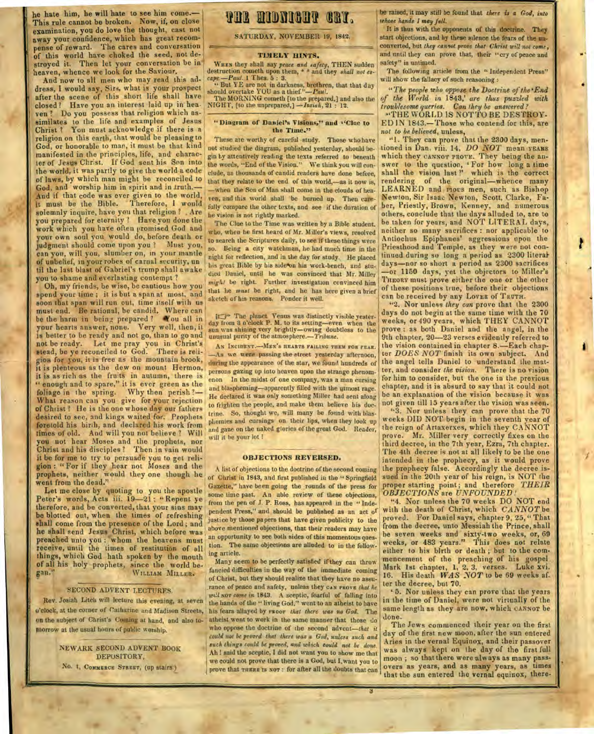he hate him, he will hate to see him come.— This rule cannot be broken. Now, if, on close examination, you do love the thought, cast not away your confidence, which has great recompense of reward. The cares and conversation of this world have choked the seed, not destroyed it. Then let your conversation be in heaven, whence we look for the Saviour.

manifested in the principles, life, and charac-<br>1ter of Jesus Christ. If God sent his Son into the words, "End of the Vision." We think you will conthe world, it was partly to give the world a code clude, as thousands of candid readers have done before, of laws, by which man might be reconciled to that they relate to the end of this world,—as it now is,<br>God, and worship him in spirit and in truth.— when the Son of Man shall come in the clouds of hea-God, and worship him in spirit and in truth.— when the Son of Man shall come in the clouds of hea-<br>And if that code was ever given to the world, you and this world, shall be burned in. Then gain, And if that code was ever given to the world, ' ven, and this world shall 'be burned up. Then care-<br>it must be the Bible. Therefore, I would call a manner the client and caresolemnly inquire, have you that religion ? . Are he vision is not rightly marked.<br>you prepared for eternity ? Have you done the The Clue to the Time was written by a Bible student. work which you have often promised God and<br>your own soul you would do, before death or<br>judgment should come upon you? Must you, search the Scriptures daily, to see if these things were<br>can you, will you, slumber on, in you til the last blast of Gabriel's trump shall awake the Daniel, until he was convinced that Mr. Miller you to shame and everlasting contempt ?<br>Oh, my friends, be wise, be cautious how you And now to all men who may read this address, I would say, Sirs, what is your prospect. after the scene of this short life shall have The MORNING cometh [to the prepared,] and also the of the World in 1843,' are thus puzzled with after the scene of this short life shall have when MORNING cometh [to the *prepared*,] and also the of the World in 1843, are thus puzzled with<br>closed? Have you an interest laid up in hea. NIGHT, [to the unprepared,]  $-$ Is ven? Do you possess that religion which as-<br>similates to the life and examples of Jesus "Diagram of Daniel's Visions," and "Clae to EDIN 1843.—Those who contend for this, are similates to the life and examples of Jesus "Diagram of Daniel's Visions," and "Clue to **EDIN 1843.**—Those who christ? You must acknowledge if there is a the Time." Christ ? You must acknowledge if there is a **the Time."** *not to be believed***, unless,** *not to be believed*, unless, *nen-* religion on this earth, that would be pleasing to These are worthy of careful study. Those who h religion on this earth, that would be pleasing to These are worthy of careful study. Those who have God, or honorable to man, it must be that kind manifested in the principles, life, and charac-God, or honorable to man, it must be that kind not studied the diagram, published vesterday, should be- tioned in Dan. viii. 14, DO NOT mean YEARS<br>manifested in the principles, life, and charac- ginty attentively reading t

spend your time ; it is but a span at most, and soon that span will run out, time itself with us must end. Be rational, be candid. Where can be the harm in being prepared ? You all in your hearts answer, none. Very well, then, it is better to be ready and not go, than to go and not be ready. Let me pray you in Christ's stead, be ye reconciled to God. There is religion for you, it is **free** as the mountain brook, it is plenteous as the dew on mount Hermon, it is as rich as the fruits in autumn, there is " enough and to spare," it is ever green as the foliage in the spring. Why then perish ?— What reason can you give for your rejection of Christ ? He is the one whose day our fathers desired to see, and kings waited for. Prophets foretold his birih, and declared his work from times of old. And will you not believe ? Will you not hear Moses and the prophets, nor Christ and his disciples ? Then in vain would it be for me to try to persuade you to get religion : " For if they hear not Moses and the prophets, neither would they one though he went from the dead."

Let me close by quoting to you the apostle Peter's words, Acts iii. 19-21: "Repent ye therefore, and be converted, that your sins may be blotted out, when the times of refreshing shall come from the presence of the Lord ; and he shall send Jesus Christ, which before was preached unto you : whom the heavens must receive, until the times of restitution of all things, which God hath spoken by the mouth of all his holy prophets, since the world be-<br>gan." WILLIAM MILLER. WILLIAM MILLER.

#### SECOND ADVENT LECTURES.

on the subject of Christ's Coming at hand, and also to-

NEWARK SECOND ADVENT BOOK DEPOSITORY,

No. 1, **COMMERCE STREET,** (up stairs.)

## **the midnicht cay.**

SATURDAY, NOVEMBER 19, 1842.

#### TIMELY **HINTS.**

**WHEN** they shall say *peace and safety,* THEN sudden destruction cometh upon them, \* \* and they *shall not escape.—Paid.* 1 Thes. 5 : 3.

" But YE are not in darkness, brethren, that that **day**  should overtake YOU as a thief"—Paul.

fully compare the other texts, and see if the duration of

*might* be right. Further investigation convinced him that he *must* be right, and he has here given a brief sketch of his reasons. Ponder **it** well.

### if  $\Box$ <sup>2</sup> The planet Venus was distinctly visible yester-<br>day from 3 o'clock P. M. to its setting—even when the sun was shining very brightly—owing doubtless to the unusual purity of the atmosphere.—Tribune.

**AN INCIDENT.—MEN'S HEARTS FAILING THEM FOR FEAR. —As** we were passing the street yesterday afternoon, during the appearance of the star, we found hundreds of persons gazing up into heaven upon the strange phenomenon In the midst of one compaqy, was a man cursing and blaspheming—apparently filled with the utmost rage. He declared it was only something Miller had sent along to frighten the people, and make them believe his doctrine. So, thought we, will many be found with blasphemies and cursings on their lips, when they look up and gaze on the naked glories of the great God. Reader, will it be your lot ?

#### **OBJECTIONS REVERSED.**

A list of objections to the doctrine of the second coming ' of Christ in 1843, and first published in the " Springfield Gazette," have been going the rounds of the press for some time past. An able review of these objections, from the pen of **J. P.** Ross, has appeared in the " Independent Press," and should be published as an act of justice by those papers that have given publicity to the above mentioned objections, that their readers may have an opportunity to see both sides of this momentous question. The same objections are alluded to in the following article.

Many seem to be perfectly satisfied if they can throw fancied difficulties in the way of the immediate coming of Christ, but they should realize that they have no assurance of peace and safety, unless they can enove that he **will NOT** *come in* 1843. A sceptic, fearful of falling into Rev. Josiah Litch will lecture this evening, at seven the hands of the " living God," went to an atheist to have g'elock, at the corner of Catharine and Madison Streets, his fears allayed by vroov that there was no God. Th his fears allayed by *ruoor* that there was no God. The atheist went to work in the same manner that those do morrow at the usual hours of public worship. who oppose the doctrine of the second advent—that *it could not be proved that there was a God, unless such and*  such things could be proved, and which could not be done. *All!* said the sceptic, I did not want you to show me that we could not prove that there is a God, but I.want you to prove that **THERE** IS NOT : for after all the doubts that can

be raised, it may still be found that *there is a God, into whose hands I may full.* 

It is thus with the opponents of this doctrine. They start objections, and by these silence the fears of the unconverted, but *they cannot prove that Christ will not come,*  and until they can prove that, their "cry of peace and safety" is untimed.

The following article from the " Independent Press" will show the fallacy of such reasoning :

*"The people who oppose the Doctrine of the'End* 

swer to the question, 'For how long a time shall the vision last?' which is the correct rendering of the original—whence many LEARNED and mous men, such as Bishop Newton, Sir Isaac Newton, Scott, Clarke, Faber, Priestly, Brown, Kenney, and numerous others, conclude that the days alluded to, are to be taken for years, and NOT LITERAL days, neither so many sacrifices : nor applicable to Antiochus Epiphanes' aggressions upon the Priesthood and Temple, as they were not continued during so long a period as 2300 literal• days—nor so short a period as 2300 sacrifices —or 1150 days, yet the objectors to Miller's THEORY must prove either the one or the other of these positions true, before their objections can be received by any LOVER of TRUTH.

"2. Nor unless *they can* prove that the 2300 days do not begin at the same time with the 70 weeks, or 490 years, which THEY CANNOT prove ; as both Daniel and the angel, in the 9th chapter, 20-23 verses evidently referred to the vision contained in chapter 8.—Each chapter *DOES NOT* finish its own subject. And the angel tells Daniel to understand the matter, and consider *the vision.* There is no vision for him to consider, but the one in the previous chapter, and it is absurd to say that it could not be an explanation of the vision because it was not given till 15 years after the vision was seen.

''3. Nor unless they can prove that the 70 weeks DID NOT begin in the seventh year of the reign of Artaxerxes, which they CANNOT prove. Mr. Miller very correctly fixes on the third decree, in the 7th year, Ezra, 7th chapter. The 4th decree is not at all likely to be the one intended in the prophecy, as it would prove the prophecy false. Accordingly the decree issued in the 20th year of his reign, is NOT the proper starting point ; and therefore *THEIR OBJECTIONS* are *UNFOUNDED !* 

"4. Nor unless the 70 weeks DO NOT end with the death of Christ, which *CANNOT* be proved. For Daniel says, chapter 9, 25, " That from the decree, unto Messiah the Prince, shall be seven weeks and sixty-two weeks, or, 69 weeks, or 483 years." This does not relate either to his birth or death ; but to the commencement of the preaching of his gospel Mark 1st chaptet, 1, 2, 3, verses. Luke xvi. 16. His death *WAS NOT* to be 69 weeks af. ter the decree, but 70.

5. Nor unless they can prove that the years in the time of Daniel, were not virtually of the same length as they are now, which CANNOT be done.

The Jews commenced their year on the first day of the first new moon, after the sun entered Aries in the vernal Equinox, and their passover was always kept on the day of the first full moon ; so that there were always as many Passovers as years, and as many years, as times that the sun entered the vernal equinox, there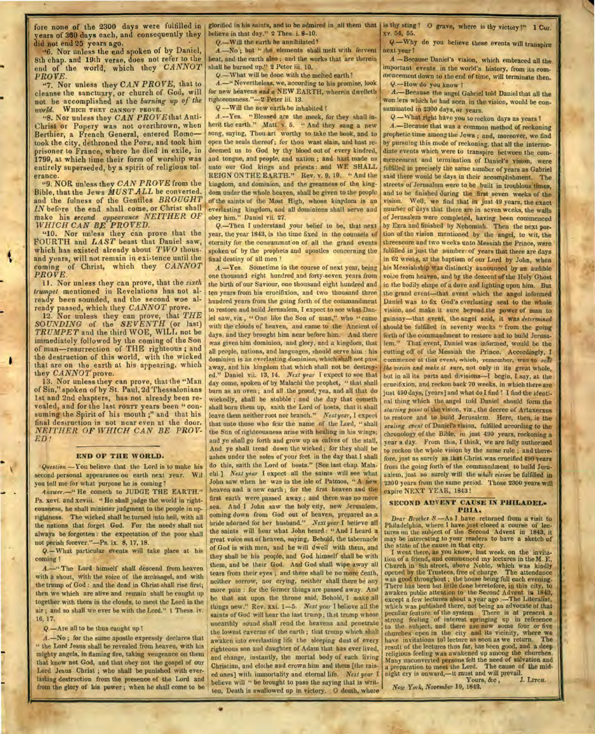fore none of the **2300** days were fulfilled in years of 360 days each, and consequently they did not end 25 years ago.

"6. Nor unless the end spoken of by Daniel, 8th chap. and 19th verse, does not refer to the end of the world, which they *CANNOT PROVE.* 

"7. Nor unless they *CAN PROVE,* that to cleanse the sanctuary, or church of God, will not be accomplished at the *burning up of the world.* WHICH THEY CANNOT PROVE.

"8. Nor unless they *CAN PROVEthat* Anti-Christ or Popery was not overthrown, when Berthier, a French General, entered Rome took the city, dethroned the POPE, and took him prisoner to France, where he died in exile, in 1799, at which time their form of worship was entirely superseded, by a spirit of religious tol. erance.

"9. NOR unless they *CAN PROVE* from the Bible, that the Jews *MUST ALL* be converted. and the fulness of the Gentiles *BROUGHT IN* before the end shall come, or Christ shall make his *second appearance NEITHER OF WHICH CAN BE PROVED.* 

"10. Nor unless they can prove that the FOURTH and *LAST* beast that Daniel saw, which has existed already about *TWO* thous. and years, will not remain in existence until the coming of Christ, which they *CANNOT PROVE.* 

11. Nor unless they can prove, that the *sixth trumpet* mentioned in Revelations has not already been sounded, and the second woe already passed, which they *CANNOT* prove.

12. Nor unless they can prove, that *THE SOUNDING* of the *SEVENTH* (or last) *TRUMPET* and the third WOE, WILL not be immediately followed by the coming of the Son of man—resurrection of THE righteous ; and the destruction of this world, with the wicked that are on the earth at his appearing, which they *CANNOT* prove.

13. Nor unless they can prove, that the "Man of Sin," spoken of by St. Paul, 2d Thessalonians 1st and 2nd chapters, has not already been revealed, and for the last FORTY years been " consuming the Spirit of his mouth;" and that his final destruction is not near even at the door. *NEITHER OF WHICH CAN BE PROV-ED!* 

#### **END OF THE WORLD.**

*Question* —You believe that the Lord is to make his second personal appearance on earth next year. Wil you tell me for what purpose he is coming?

*Answer.*-" He cometh to JUDGE THE EARTH." Ps. xcvi. and xcviii. "He shall judge the world in righteousness, he shall minister judgment to the people in uprightness. The wicked shall he turned into hell, with all the nations that forget God. For the needy shall not always be forgotten : the expectation of the poor shall not perish forever."—Ps. ix. 8, 17, 18.

*Q.—What* particular events will take place at his coming ?

A.—" The Lord himself shall descend from heaven with a shout, with the voice of the archangel, and with the trump of God : and the dead in Christ shall rise first; then we which are alive and remain shall be caught up together with them *in* the clouds, to meet the Lord in the air ; and so shall we ever be with the Lord." 1 Thess. iv. 16, 17.

*Q.*—Are all to be thus caught up!

A.—No ; for the same apostle expressly declares that " the Lord Jesus shall be revealed from heaven, with his mighty angels, in flaming fire, taking vengeance on them that know not God, and that obey not the gospel of our Lord Jesus Christ ; who shall be punished with everlasting destruction from the presence of the Lord and from the glory of his power ; when he shall come to be

glorified in his saints, and to be admired in all them that is thy sting? 0 grave, where is thy victory?" **1** Cor. believe in that day." 2 Thes. i. 8-10.

Q.-Will the earth be annihilated?

*A.—No* ; but " the elements shall melt with fervent heat, and the earth also ; and the works that are therein shall be burned up." 2 Peter iii. 10.

Q.—What will be done with the melted earth?

A.—" Nevertheless, we, according to his promise, look for new heavens *and* a NEW EARTH, wherein dwelleth righteousness."-2 Peter iii. 13.

Q --Will the new earth he inhabited I

A.--Yes. "Blessed are the meek, for they shall inherit the earth." Matt. v. 5. " And they sang a new song, saying, Thou art worthy to take the book, and to open the seals thereof; for thou wast slain, and hast redeemed us to God by thy blood out of every kindred, and tongue, and people, and nation ; and hast made us unto our God kings and priests : and WE SHALL REIGN ONTHE EARTH." Rev. v. 9, 10. " And the kingdom, and dominion, and the greatness of the kingdom under the whole heaven, shall be given to the people of the saints of the Most High, whose kingdom is an everlasting kingdom, and all dominions shall serve and obey him." Daniel vii. 27.

Q.—Then I understand your belief to be, that next year, the year 1843, is the time fixed in the counsels of eternity for the consummat'on of all the grand events spoken of by the prophets and apostles concerning the final destiny of all men ?

*A.—Yes.* Sometime in the course of next year, being one thousand eight hundred\_and forty-seven years from the birth of our Saviour, one thousand eight hundred and ten years from his crucifixion, and two thousand three hundred years from the going forth of the commandment to restore and build Jerusalem, I expect to see what Daniel saw, viz., " One like the Son of man," who " came with the clouds of heaven, and came to the Ancient of days, and they brought him near before him. And there was given him dominion, and glory, and a kingdom, that all people, nations, and languages, should serve him : his dominion is an everlasting dominion, which shall not pass away, and his kingdom that which shall not be destroyed." Daniel vii. 13, 14. *Next year* I expect to see that day come, spoken of by Malachi the prophet, " that shall burn as an oven ; and all the proud; yea, and all that do wickedly, shall be stubble ; and the day that cometh shall burn them up, saith the Lord of hosts, that it shall leave them neither root nor branch." *Next year,* I expect that unto those who fear the name of the Lord, " shall the Sun of righteousness arise with healing in his wings; and ye shall go forth and grow up as calves of the stall. And ye shall tread down the wicked ; for they shall be ashes under the soles of your feet in the day that I shall do this, saith the Lord of hosts." [See last chap. Malachi.] *Next year* I expect all the saints will see what John saw when lie was in the isle of Patmos, " A new heaven and a new earth ; for the first heaven and the first earth were passed away ; and there was no more sea. And **I** John saw the holy city, new Jerusalem, coming down from God out of heaven, prepared as a bride adorned for her husband." *Next year* **I** believe all the saints will hear what John heard : " And I heard a great voice out of heaven, saying, Behold, the tabernacle of God is with men, and he will dwell with them, and they shall be his people, and God himself shall be with them, and be their God. And God shall wipe away all tears from their eyes ; and there shall be no more death, neither sorrow, nor crying, neither shall there be any more pain : for the former things are passed away. And he that sat upon the throne said, Behold, I make all things new." Rev. xxi. 1-5. *Next year* I believe all the saints of God will hear the last trump; that trump whose unearthly sound shall rend the heavens and penetrate the lowest caverns of the earth ; that trump which shall awaken into everlasting life the sleeping dust of every righteous son and daughter of Adam that has ever lived, and change, instantly, the mortal body of each living Christian, and clothe and crown him and them [the raised ones] with immortality and eternal life. *Next year* **I**  believe will " be brought to pass the saying that is written, Death is swallowed up in victory. 0 death, where

x v. 54, 55.

Q.—Why do you believe these events will transpire next year ?

A —Because Daniel's vision, which embraced all the important events in the world's history, from its commencement down to the end of time, will terminate then. **Q.—How** do you know ? •

*A.—Because* the angel Gabriel told Daniel that all the won lers which he had seen in the vision, would be consummated in 2300 days, or years.

*Q.—What* right have you to reckon days as years 1

A.—Because that was a common method of reckoning prophetic time among the Jews ; and, moreover, we find by pursuing this mode of reckoning, that all the intermediate events which were to transpire between the commencement and termination of Daniel's vision, were fulfilled in precisely the same number of years as Gabriel said there would be days in their accomplishment. The streets of Jerusalem were to be built in troublous times, and to be finished during the first seven weeks of the vision. Well, we find that in just 49 years, the exact number of days that there are in seven weeks, the walls of Jerusalem were completed, having been commenced by Ezra and finished by Nehemiah. Then the next portion of the vision mentioned by the angel, to wit, the threescore and two weeks unto Messiah the Prince, were fulfilled in just the number of years that there are days in 62 weeks, at the baptism of our Lord by John, when his Messiahship was distinctly announced by an audible voice from heaven, and by the descent of the Holy Ghost in the bodily shape of a dove and lighting upon him. But the grand event—that event which the angel informed Daniel was to fix God's everlasting seal to the whole vision, and make it sure beyond the power of man to gainsay—that event, the angel said, it was *determined*  should be fulfilled in seventy weeks " from the going forth of the commandment to restore and to build Jerusalem." That event, Daniel was informed, would be the cutting off of the Messiah the Prince. Accordingly, I commence at that event, which, remember, was to *sedi the vision and make it sure,* not only in its great whole, but in all its parts and divisions—I begin, **I** say, at the crucifixion, and reckon back 70 weeks, in which there are just 490 days, [years] and what do I find **I** find the identical thing which the angel told Daniel should form the *staying point* of the vision, viz., the decree of Artaxerxes to restore and to build Jerusalem. Here, then, is the *sealing event* of Daniel's vision, fulfilled according to the chronology of the Bible, in just 490 years, reckoning a year a day. From this, I think, we are fully authorized to reckon the whole vision by the same rule ; and therefore, just as surely as that Christ was crucified 490 years from the going forth of the commandment to build Jerusalem, just so surely will the *whole vision* be fulfilled in 2300 years from the same period. Those 2300 years will expire NEXT YEAR, 1843 !

#### **SECOND ADVENT CAUSE IN PHILADEL.** PHIA.

*Dear Brother S.—As* I have returned from a visit to Philadelphia, where **I** have just closed a course of lec-tures on the subject of the Second Advent in 1843, it may be interesting to your readers to have a sketch of the state of the cause in that city.

**I** went there, as you know, last week, on the invitation of a friend, and commenced my lectures in the M. E. Church in 8th street, above Noble, which was kindly opened by the Trustees, free of charge. The attendance was good throughout ; the house being full each evening. There has been but little done heretofore, in this city, to awaken public attention to the Second Advent in 1843, except a few lectures about a year ago :—The Literalist, which was published there, not being an advocate of that peculiar feature of the system There is at present a strong feeling of interest springing up in reference to the subject, and there are now some four or five churches open in the city and its vicinity, where we have invitations tot lecture as soon as we return. The result of the lectures thus far, has been good, and a deep religious feeling was awakened up among the churches. Many unconverted persons felt the need of salvation and a preparation to meet the Lord. The cause of **the** mid-night cry is onward,—it must and will prevail. Yours, &c, J. LITCH.

*New York, November* 19, 1842.